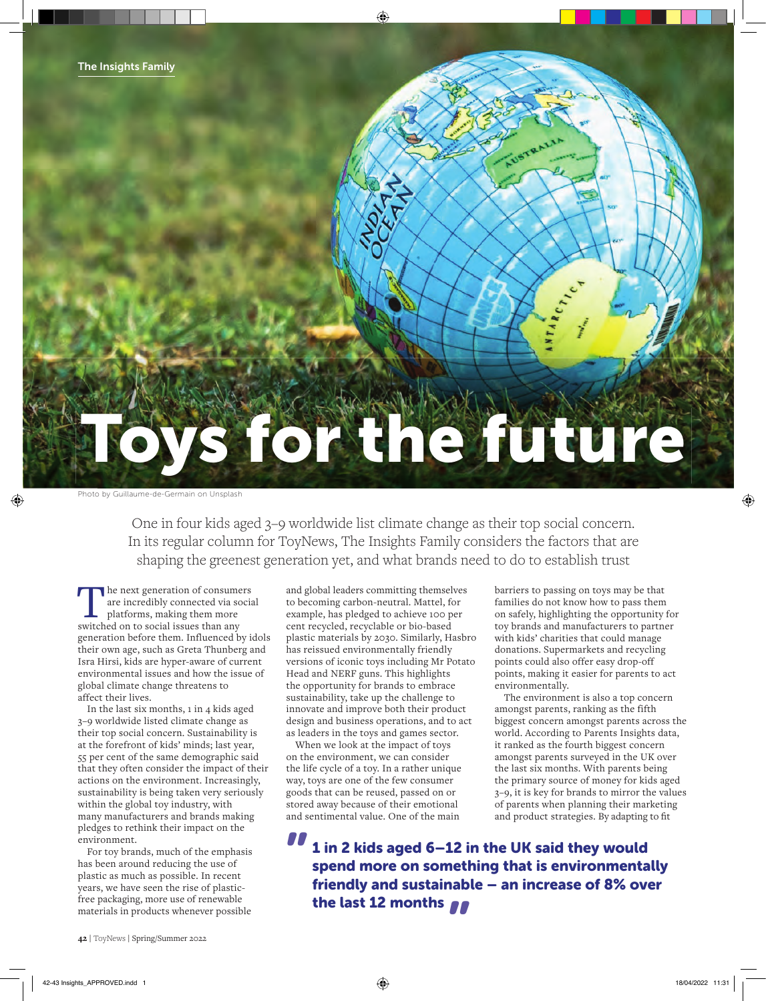# To the future

Photo by Guillaume-de-Germain on Unsplash

One in four kids aged 3–9 worldwide list climate change as their top social concern. In its regular column for ToyNews, The Insights Family considers the factors that are shaping the greenest generation yet, and what brands need to do to establish trust

The next generation of consumers<br>
are incredibly connected via social<br>
platforms, making them more<br>
switched on to social issues than any are incredibly connected via social switched on to social issues than any generation before them. Influenced by idols their own age, such as Greta Thunberg and Isra Hirsi, kids are hyper-aware of current environmental issues and how the issue of global climate change threatens to affect their lives.

In the last six months, 1 in 4 kids aged 3–9 worldwide listed climate change as their top social concern. Sustainability is at the forefront of kids' minds; last year, 55 per cent of the same demographic said that they often consider the impact of their actions on the environment. Increasingly, sustainability is being taken very seriously within the global toy industry, with many manufacturers and brands making pledges to rethink their impact on the environment.

For toy brands, much of the emphasis has been around reducing the use of plastic as much as possible. In recent years, we have seen the rise of plasticfree packaging, more use of renewable materials in products whenever possible

and global leaders committing themselves to becoming carbon-neutral. Mattel, for example, has pledged to achieve 100 per cent recycled, recyclable or bio-based plastic materials by 2030. Similarly, Hasbro has reissued environmentally friendly versions of iconic toys including Mr Potato Head and NERF guns. This highlights the opportunity for brands to embrace sustainability, take up the challenge to innovate and improve both their product design and business operations, and to act as leaders in the toys and games sector.

When we look at the impact of toys on the environment, we can consider the life cycle of a toy. In a rather unique way, toys are one of the few consumer goods that can be reused, passed on or stored away because of their emotional and sentimental value. One of the main

barriers to passing on toys may be that families do not know how to pass them on safely, highlighting the opportunity for toy brands and manufacturers to partner with kids' charities that could manage donations. Supermarkets and recycling points could also offer easy drop-off points, making it easier for parents to act environmentally.

The environment is also a top concern amongst parents, ranking as the fifth biggest concern amongst parents across the world. According to Parents Insights data, it ranked as the fourth biggest concern amongst parents surveyed in the UK over the last six months. With parents being the primary source of money for kids aged 3–9, it is key for brands to mirror the values of parents when planning their marketing and product strategies. By adapting to fit

1 in 2 kids aged 6–12 in the UK said they would spend more on something that is environmentally friendly and sustainable – an increase of 8% over the last 12 months  $\int f$ **"**